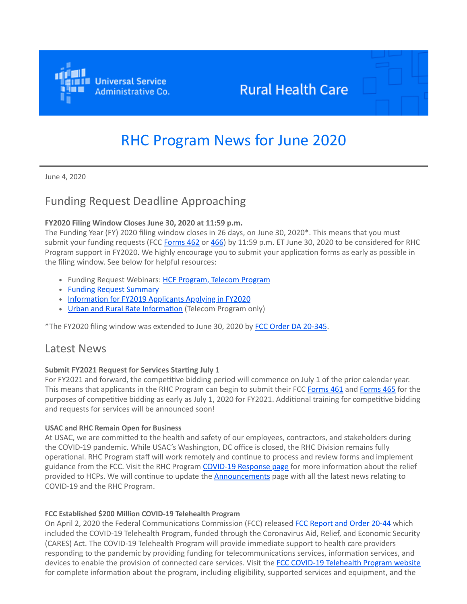

## **Rural Health Care**

# RHC Program News for June 2020

June 4, 2020

## Funding Request Deadline Approaching

#### **FY2020 Filing Window Closes June 30, 2020 at 11:59 p.m.**

The Funding Year (FY) 2020 filing window closes in 26 days, on June 30, 2020\*. This means that you must submit your funding requests (FCC [Forms 462](https://click.outreach.usac.org/?qs=3432a3f43d794692f5b5bcb0990f97dc09a217304ade04cd26fe5050591eef57b7119dde2ff6fd21d7c4e25c526cda19b36c404f013c5788) or [466](https://click.outreach.usac.org/?qs=3432a3f43d794692c740a1d4be5826256997792799dc49333ce591ba2a33d1fffd2790ffa22eccd83c62b4d047c9b9f0995a17f66e241729)) by 11:59 p.m. ET June 30, 2020 to be considered for RHC Program support in FY2020. We highly encourage you to submit your application forms as early as possible in the filing window. See below for helpful resources:

- Funding Request Webinars: [HCF Program, Telecom Program](https://click.outreach.usac.org/?qs=3432a3f43d7946921f476e096a84582a51e524726b90420a9a4072befbbef636d8d613f32ea63b7f8458d13ff1298f1482fe8938c5122b13)
- [Funding Request Summary](https://click.outreach.usac.org/?qs=3432a3f43d79469254080147c203da6f3f7c05afbe0a6c21994db92f8c6e1b37861aec9a17dc6ea90ad76e6d6e38fc0290660324d4ae8c48)
- [Information for FY2019 Applicants Applying in FY2020](https://click.outreach.usac.org/?qs=3432a3f43d794692a8dc8ef9b979171f67994743d0d7e35518553604b0d79b4136ea3abfda577f25d4ff8a419da9601b90c2c98e470c654d)
- [Urban and Rural Rate Information](https://click.outreach.usac.org/?qs=3432a3f43d794692f3925415e4110172a3284ef7b9bfe0d93d17133bacc68e735bf4bba46358855e74f72a0fc8af2e82bbcfa0b64ae1ff67) (Telecom Program only)

\*The FY2020 filing window was extended to June 30, 2020 by [FCC Order DA 20-345.](https://click.outreach.usac.org/?qs=3432a3f43d79469299d6bd00af871b4878da35a5907003a2de77cbaec126d78a8f116421dddb0f0355329bdca4702cb4e936f21e2d3f0674)

### Latest News

#### **Submit FY2021 Request for Services Starting July 1**

For FY2021 and forward, the competitive bidding period will commence on July 1 of the prior calendar year. This means that applicants in the RHC Program can begin to submit their FCC [Forms 461](https://click.outreach.usac.org/?qs=3432a3f43d7946924071ae4e2516f504e0ff4bf15e239790b85c386412d18974f6c1a8498d3d7b4c2548724f2612cbb15e92630a0012cd20) and [Forms 465](https://click.outreach.usac.org/?qs=3432a3f43d7946922e7057cef727efcc02fdea938b6455f756652070310f0ae3b833d0c966825fda84f9ea33f331e629dda80aa1aed1aa0e) for the purposes of competitive bidding as early as July 1, 2020 for FY2021. Additional training for competitive bidding and requests for services will be announced soon!

#### **USAC and RHC Remain Open for Business**

At USAC, we are committed to the health and safety of our employees, contractors, and stakeholders during the COVID-19 pandemic. While USAC's Washington, DC office is closed, the RHC Division remains fully operational. RHC Program staff will work remotely and continue to process and review forms and implement guidance from the FCC. Visit the RHC Program [COVID-19 Response page](https://click.outreach.usac.org/?qs=3432a3f43d79469274723aca5b0a80ff37bba4a681b1ae228ca8bbc92b5d762be8ebfc7359f9af380450988533cad7ea161df637d9b6b953) for more information about the relief provided to HCPs. We will continue to update the **[Announcements](https://click.outreach.usac.org/?qs=3432a3f43d794692d4100c7bbb02089dbad3c1a3c2abe7c7c0e83987bdd3678b541248911f092269466113ceaf6a91ec1207bc90fdd591ab)** page with all the latest news relating to COVID-19 and the RHC Program.

#### **FCC Established \$200 Million COVID-19 Telehealth Program**

On April 2, 2020 the Federal Communications Commission (FCC) released [FCC Report and Order 20-44](https://click.outreach.usac.org/?qs=3432a3f43d794692adc6b1ca93fb5c9094d505e6fbd009a8faa5444faa41907828935c032820eeafdbe911e96ab2daf97d632ed3b2999ec1) which included the COVID-19 Telehealth Program, funded through the Coronavirus Aid, Relief, and Economic Security (CARES) Act. The COVID-19 Telehealth Program will provide immediate support to health care providers responding to the pandemic by providing funding for telecommunications services, information services, and devices to enable the provision of connected care services. Visit the [FCC COVID-19 Telehealth Program website](https://click.outreach.usac.org/?qs=3432a3f43d794692ca2ec105b421b3bc20d55445dcb5b66d62f4519561a3898c8561f95e8c0538d8293c352f74654c12ed94c4fd9664e3da) for complete information about the program, including eligibility, supported services and equipment, and the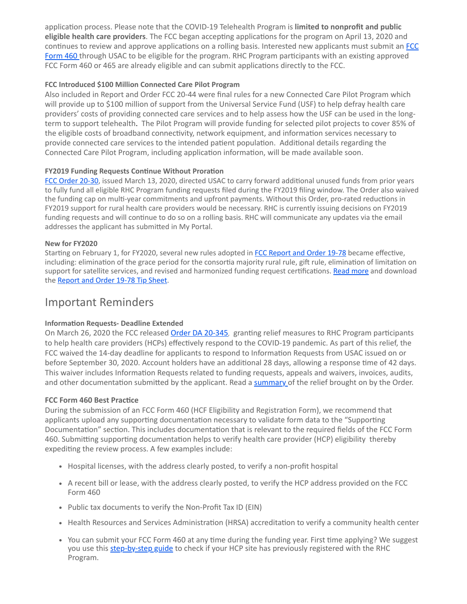application process. Please note that the COVID-19 Telehealth Program is **limited to nonprofit and public eligible health care providers**. The FCC began accepting applications for the program on April 13, 2020 and [continues to review and approve applications on a rolling basis. Interested new applicants must submit an](https://click.outreach.usac.org/?qs=3432a3f43d7946923fea4b1d0a3a9d154fe26142b8367ff776340f684dd1fbbeea266abfb7a4b6fe5ff62f998113daab28284b281aa4d248) FCC Form 460 through USAC to be eligible for the program. RHC Program participants with an existing approved FCC Form 460 or 465 are already eligible and can submit applications directly to the FCC.

#### **FCC Introduced \$100 Million Connected Care Pilot Program**

Also included in Report and Order FCC 20-44 were final rules for a new Connected Care Pilot Program which will provide up to \$100 million of support from the Universal Service Fund (USF) to help defray health care providers' costs of providing connected care services and to help assess how the USF can be used in the longterm to support telehealth. The Pilot Program will provide funding for selected pilot projects to cover 85% of the eligible costs of broadband connectivity, network equipment, and information services necessary to provide connected care services to the intended patient population. Additional details regarding the Connected Care Pilot Program, including application information, will be made available soon.

#### **FY2019 Funding Requests Continue Without Proration**

[FCC Order 20-30](https://click.outreach.usac.org/?qs=3432a3f43d7946920ec4fb02d62bf92206175ddfe6bc20f634d937000065bc305bbb48c958d049c0daf1a115c48b18b87f86e07787c53e6b), issued March 13, 2020, directed USAC to carry forward additional unused funds from prior years to fully fund all eligible RHC Program funding requests filed during the FY2019 filing window. The Order also waived the funding cap on multi-year commitments and upfront payments. Without this Order, pro-rated reductions in FY2019 support for rural health care providers would be necessary. RHC is currently issuing decisions on FY2019 funding requests and will continue to do so on a rolling basis. RHC will communicate any updates via the email addresses the applicant has submitted in My Portal.

#### **New for FY2020**

Starting on February 1, for FY2020, several new rules adopted in [FCC Report and Order 19-78](https://click.outreach.usac.org/?qs=3432a3f43d794692b305c9c05da4c73576516d4ccdf601bec9b3c49c412993968b08d0b23ac99d600df04cec6099b478575bd96ff65e68ac) became effective, including: elimination of the grace period for the consortia majority rural rule, gift rule, elimination of limitation on support for satellite services, and revised and harmonized funding request certifications. [Read more](https://click.outreach.usac.org/?qs=3432a3f43d7946922284a17c932e6573546fc514b19350a0b3572da17fe4db93a1147808be95ae5c2a01b1bd8be7bb149da2edcb0613e23a) and download the [Report and Order 19-78 Tip Sheet](https://click.outreach.usac.org/?qs=3432a3f43d79469218fcdaa98a77f8f81c4c3290583a4d334ca35e50ead303997e7dadb83cb57bb3439f72e6cdcc481f657baa32102d3b5c).

## Important Reminders

#### **Information Requests- Deadline Extended**

On March 26, 2020 the FCC released [Order DA 20-345](https://click.outreach.usac.org/?qs=3432a3f43d79469299d6bd00af871b4878da35a5907003a2de77cbaec126d78a8f116421dddb0f0355329bdca4702cb4e936f21e2d3f0674), granting relief measures to RHC Program participants to help health care providers (HCPs) effectively respond to the COVID-19 pandemic. As part of this relief, the FCC waived the 14-day deadline for applicants to respond to Information Requests from USAC issued on or before September 30, 2020. Account holders have an additional 28 days, allowing a response time of 42 days. This waiver includes Information Requests related to funding requests, appeals and waivers, invoices, audits, and other documentation submitted by the applicant. Read a [summary](https://click.outreach.usac.org/?qs=3432a3f43d7946923df556333f462d7d36daf31e8fe79e75f0a30fef85677b5e1c4e2e95d9b316e09ecee2fa583f849f1dd38a9e4b20a4e7) of the relief brought on by the Order.

#### **FCC Form 460 Best Practice**

During the submission of an FCC Form 460 (HCF Eligibility and Registration Form), we recommend that applicants upload any supporting documentation necessary to validate form data to the "Supporting Documentation" section. This includes documentation that is relevant to the required fields of the FCC Form 460. Submitting supporting documentation helps to verify health care provider (HCP) eligibility thereby expediting the review process. A few examples include:

- Hospital licenses, with the address clearly posted, to verify a non-profit hospital
- A recent bill or lease, with the address clearly posted, to verify the HCP address provided on the FCC Form 460
- Public tax documents to verify the Non-Profit Tax ID (EIN)
- Health Resources and Services Administration (HRSA) accreditation to verify a community health center
- You can submit your FCC Form 460 at any time during the funding year. First time applying? We suggest you use this [step-by-step guide](https://click.outreach.usac.org/?qs=3432a3f43d794692fde7a7b018bf0034f08baf6204da3e3e06064c4a6f35300adca6218b9c2d23c5042627b7e71ebbcd59be7872b3bbd1ee) to check if your HCP site has previously registered with the RHC Program.